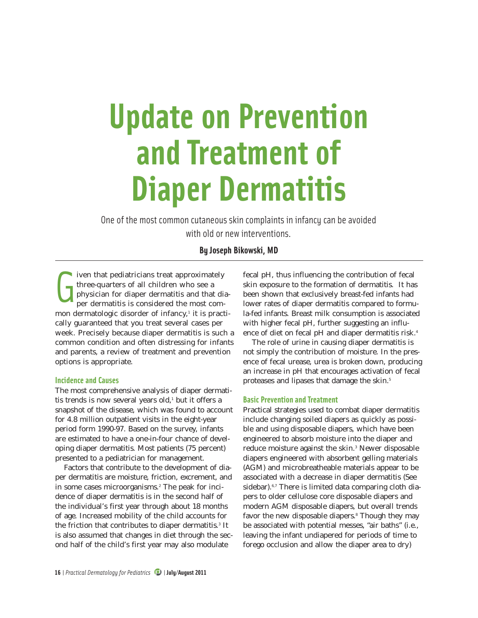# **Update on Prevention and Treatment of Diaper Dermatitis**

One of the most common cutaneous skin complaints in infancy can be avoided with old or new interventions.

# **By Joseph Bikowski, MD**

G iven that pediatricians treat approximately three-quarters of all children who see a physician for diaper dermatitis and that diaper dermatitis is considered the most common dermatologic disorder of infancy,<sup>1</sup> it is practically guaranteed that you treat several cases per week. Precisely because diaper dermatitis is such a common condition and often distressing for infants and parents, a review of treatment and prevention options is appropriate.

# **Incidence and Causes**

The most comprehensive analysis of diaper dermatitis trends is now several years old,<sup>1</sup> but it offers a snapshot of the disease, which was found to account for 4.8 million outpatient visits in the eight-year period form 1990-97. Based on the survey, infants are estimated to have a one-in-four chance of developing diaper dermatitis. Most patients (75 percent) presented to a pediatrician for management.

Factors that contribute to the development of diaper dermatitis are moisture, friction, excrement, and in some cases microorganisms.2 The peak for incidence of diaper dermatitis is in the second half of the individual's first year through about 18 months of age. Increased mobility of the child accounts for the friction that contributes to diaper dermatitis.<sup>3</sup> It is also assumed that changes in diet through the second half of the child's first year may also modulate

fecal pH, thus influencing the contribution of fecal skin exposure to the formation of dermatitis. It has been shown that exclusively breast-fed infants had lower rates of diaper dermatitis compared to formula-fed infants. Breast milk consumption is associated with higher fecal pH, further suggesting an influence of diet on fecal pH and diaper dermatitis risk.4

The role of urine in causing diaper dermatitis is not simply the contribution of moisture. In the presence of fecal urease, urea is broken down, producing an increase in pH that encourages activation of fecal proteases and lipases that damage the skin.<sup>5</sup>

# **Basic Prevention and Treatment**

Practical strategies used to combat diaper dermatitis include changing soiled diapers as quickly as possible and using disposable diapers, which have been engineered to absorb moisture into the diaper and reduce moisture against the skin.<sup>3</sup> Newer disposable diapers engineered with absorbent gelling materials (AGM) and microbreatheable materials appear to be associated with a decrease in diaper dermatitis (See sidebar).<sup>6,7</sup> There is limited data comparing cloth diapers to older cellulose core disposable diapers and modern AGM disposable diapers, but overall trends favor the new disposable diapers.<sup>8</sup> Though they may be associated with potential messes, "air baths" (i.e., leaving the infant undiapered for periods of time to forego occlusion and allow the diaper area to dry)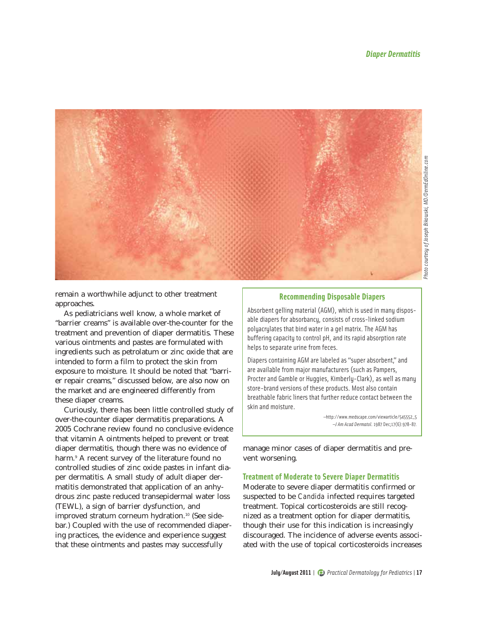

remain a worthwhile adjunct to other treatment approaches.

As pediatricians well know, a whole market of "barrier creams" is available over-the-counter for the treatment and prevention of diaper dermatitis. These various ointments and pastes are formulated with ingredients such as petrolatum or zinc oxide that are intended to form a film to protect the skin from exposure to moisture. It should be noted that "barrier repair creams," discussed below, are also now on the market and are engineered differently from these diaper creams.

Curiously, there has been little controlled study of over-the-counter diaper dermatitis preparations. A 2005 Cochrane review found no conclusive evidence that vitamin A ointments helped to prevent or treat diaper dermatitis, though there was no evidence of harm.<sup>9</sup> A recent survey of the literature found no controlled studies of zinc oxide pastes in infant diaper dermatitis. A small study of adult diaper dermatitis demonstrated that application of an anhydrous zinc paste reduced transepidermal water loss (TEWL), a sign of barrier dysfunction, and improved stratum corneum hydration.<sup>10</sup> (See sidebar.) Coupled with the use of recommended diapering practices, the evidence and experience suggest that these ointments and pastes may successfully

# **Recommending Disposable Diapers**

Absorbent gelling material (AGM), which is used in many disposable diapers for absorbancy, consists of cross-linked sodium polyacrylates that bind water in a gel matrix. The AGM has buffering capacity to control pH, and its rapid absorption rate helps to separate urine from feces.

Diapers containing AGM are labeled as "super absorbent," and are available from major manufacturers (such as Pampers, Procter and Gamble or Huggies, Kimberly-Clark), as well as many store-brand versions of these products. Most also contain breathable fabric liners that further reduce contact between the skin and moisture.

> —http://www.medscape.com/viewarticle/545552\_5 —*J Am Acad Dermatol*. 1987 Dec;17(6):978-87.

manage minor cases of diaper dermatitis and prevent worsening.

### **Treatment of Moderate to Severe Diaper Dermatitis**

Moderate to severe diaper dermatitis confirmed or suspected to be *Candida* infected requires targeted treatment. Topical corticosteroids are still recognized as a treatment option for diaper dermatitis, though their use for this indication is increasingly discouraged. The incidence of adverse events associated with the use of topical corticosteroids increases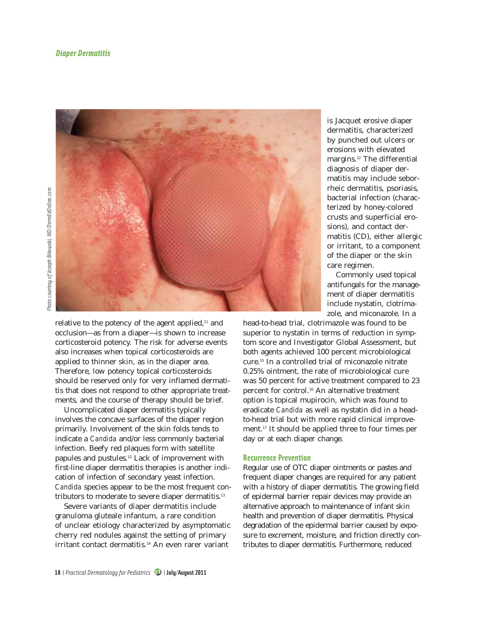

relative to the potency of the agent applied, $11$  and occlusion—as from a diaper—is shown to increase corticosteroid potency. The risk for adverse events also increases when topical corticosteroids are applied to thinner skin, as in the diaper area. Therefore, low potency topical corticosteroids should be reserved only for very inflamed dermatitis that does not respond to other appropriate treatments, and the course of therapy should be brief.

Uncomplicated diaper dermatitis typically involves the concave surfaces of the diaper region primarily. Involvement of the skin folds tends to indicate a *Candida* and/or less commonly bacterial infection. Beefy red plaques form with satellite papules and pustules.12 Lack of improvement with first-line diaper dermatitis therapies is another indication of infection of secondary yeast infection. *Candida* species appear to be the most frequent contributors to moderate to severe diaper dermatitis.<sup>13</sup>

Severe variants of diaper dermatitis include granuloma gluteale infantum, a rare condition of unclear etiology characterized by asymptomatic cherry red nodules against the setting of primary irritant contact dermatitis.<sup>14</sup> An even rarer variant

is Jacquet erosive diaper dermatitis, characterized by punched out ulcers or erosions with elevated margins.12 The differential diagnosis of diaper dermatitis may include seborrheic dermatitis, psoriasis, bacterial infection (characterized by honey-colored crusts and superficial erosions), and contact dermatitis (CD), either allergic or irritant, to a component of the diaper or the skin care regimen.

Commonly used topical antifungals for the management of diaper dermatitis include nystatin, clotrimazole, and miconazole. In a

head-to-head trial, clotrimazole was found to be superior to nystatin in terms of reduction in symptom score and Investigator Global Assessment, but both agents achieved 100 percent microbiological cure.15 In a controlled trial of miconazole nitrate 0.25% ointment, the rate of microbiological cure was 50 percent for active treatment compared to 23 percent for control.<sup>16</sup> An alternative treatment option is topical mupirocin, which was found to eradicate *Candida* as well as nystatin did in a headto-head trial but with more rapid clinical improvement.17 It should be applied three to four times per day or at each diaper change.

### **Recurrence Prevention**

Regular use of OTC diaper ointments or pastes and frequent diaper changes are required for any patient with a history of diaper dermatitis. The growing field of epidermal barrier repair devices may provide an alternative approach to maintenance of infant skin health and prevention of diaper dermatitis. Physical degradation of the epidermal barrier caused by exposure to excrement, moisture, and friction directly contributes to diaper dermatitis. Furthermore, reduced